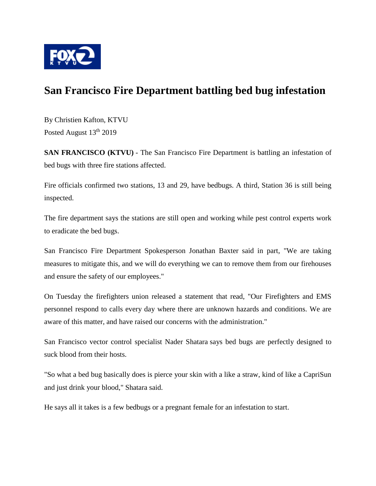

## **San Francisco Fire Department battling bed bug infestation**

By Christien Kafton, KTVU Posted August  $13<sup>th</sup> 2019$ 

**SAN FRANCISCO (KTVU)** - The San Francisco Fire Department is battling an infestation of bed bugs with three fire stations affected.

Fire officials confirmed two stations, 13 and 29, have bedbugs. A third, Station 36 is still being inspected.

The fire department says the stations are still open and working while pest control experts work to eradicate the bed bugs.

San Francisco Fire Department Spokesperson Jonathan Baxter said in part, "We are taking measures to mitigate this, and we will do everything we can to remove them from our firehouses and ensure the safety of our employees."

On Tuesday the firefighters union released a statement that read, "Our Firefighters and EMS personnel respond to calls every day where there are unknown hazards and conditions. We are aware of this matter, and have raised our concerns with the administration."

San Francisco vector control specialist Nader Shatara says bed bugs are perfectly designed to suck blood from their hosts.

"So what a bed bug basically does is pierce your skin with a like a straw, kind of like a CapriSun and just drink your blood," Shatara said.

He says all it takes is a few bedbugs or a pregnant female for an infestation to start.